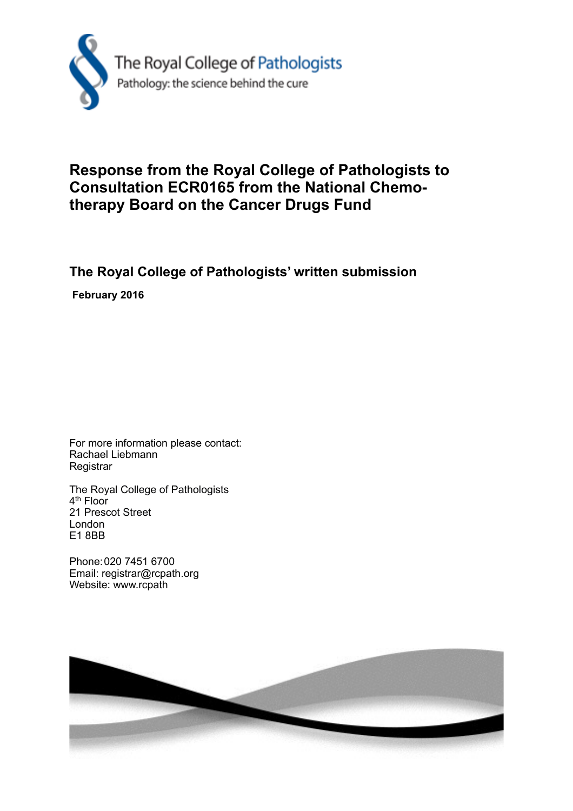

## **Response from the Royal College of Pathologists to Consultation ECR0165 from the National Chemotherapy Board on the Cancer Drugs Fund**

## **The Royal College of Pathologists' written submission**

 **February 2016**

For more information please contact: Rachael Liebmann **Registrar** 

The Royal College of Pathologists 4<sup>th</sup> Floor 21 Prescot Street London E1 8BB

Phone: 020 7451 6700 Email: registrar@rcpath.org Website: www.rcpath

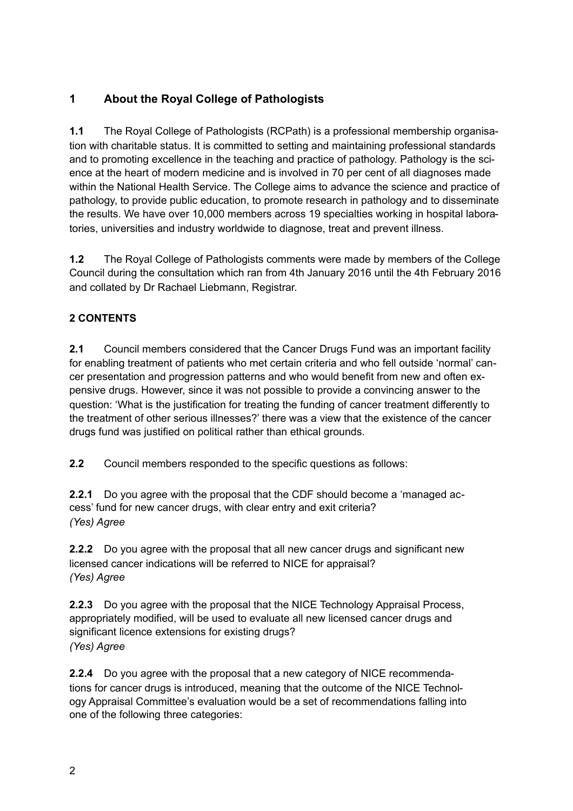## **1 About the Royal College of Pathologists**

**1.1** The Royal College of Pathologists (RCPath) is a professional membership organisation with charitable status. It is committed to setting and maintaining professional standards and to promoting excellence in the teaching and practice of pathology. Pathology is the science at the heart of modern medicine and is involved in 70 per cent of all diagnoses made within the National Health Service. The College aims to advance the science and practice of pathology, to provide public education, to promote research in pathology and to disseminate the results. We have over 10,000 members across 19 specialties working in hospital laboratories, universities and industry worldwide to diagnose, treat and prevent illness.

**1.2** The Royal College of Pathologists comments were made by members of the College Council during the consultation which ran from 4th January 2016 until the 4th February 2016 and collated by Dr Rachael Liebmann, Registrar.

## **2 CONTENTS**

**2.1** Council members considered that the Cancer Drugs Fund was an important facility for enabling treatment of patients who met certain criteria and who fell outside 'normal' cancer presentation and progression patterns and who would benefit from new and often expensive drugs. However, since it was not possible to provide a convincing answer to the question: 'What is the justification for treating the funding of cancer treatment differently to the treatment of other serious illnesses?' there was a view that the existence of the cancer drugs fund was justified on political rather than ethical grounds.

**2.2** Council members responded to the specific questions as follows:

**2.2.1** Do you agree with the proposal that the CDF should become a 'managed access' fund for new cancer drugs, with clear entry and exit criteria? *(Yes) Agree* 

**2.2.2** Do you agree with the proposal that all new cancer drugs and significant new licensed cancer indications will be referred to NICE for appraisal? *(Yes) Agree* 

**2.2.3** Do you agree with the proposal that the NICE Technology Appraisal Process, appropriately modified, will be used to evaluate all new licensed cancer drugs and significant licence extensions for existing drugs? *(Yes) Agree* 

**2.2.4** Do you agree with the proposal that a new category of NICE recommendations for cancer drugs is introduced, meaning that the outcome of the NICE Technology Appraisal Committee's evaluation would be a set of recommendations falling into one of the following three categories: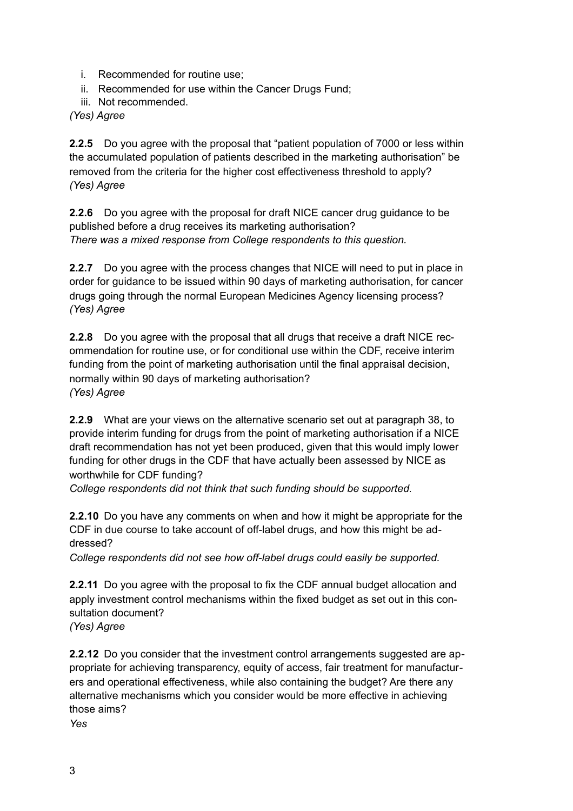- i. Recommended for routine use;
- ii. Recommended for use within the Cancer Drugs Fund;
- iii. Not recommended.

*(Yes) Agree* 

**2.2.5** Do you agree with the proposal that "patient population of 7000 or less within the accumulated population of patients described in the marketing authorisation" be removed from the criteria for the higher cost effectiveness threshold to apply? *(Yes) Agree*

**2.2.6** Do you agree with the proposal for draft NICE cancer drug guidance to be published before a drug receives its marketing authorisation? *There was a mixed response from College respondents to this question.* 

**2.2.7** Do you agree with the process changes that NICE will need to put in place in order for guidance to be issued within 90 days of marketing authorisation, for cancer drugs going through the normal European Medicines Agency licensing process? *(Yes) Agree* 

**2.2.8** Do you agree with the proposal that all drugs that receive a draft NICE recommendation for routine use, or for conditional use within the CDF, receive interim funding from the point of marketing authorisation until the final appraisal decision, normally within 90 days of marketing authorisation? *(Yes) Agree* 

**2.2.9** What are your views on the alternative scenario set out at paragraph 38, to provide interim funding for drugs from the point of marketing authorisation if a NICE draft recommendation has not yet been produced, given that this would imply lower funding for other drugs in the CDF that have actually been assessed by NICE as worthwhile for CDF funding?

*College respondents did not think that such funding should be supported.*

**2.2.10** Do you have any comments on when and how it might be appropriate for the CDF in due course to take account of off-label drugs, and how this might be addressed?

*College respondents did not see how off-label drugs could easily be supported.* 

**2.2.11** Do you agree with the proposal to fix the CDF annual budget allocation and apply investment control mechanisms within the fixed budget as set out in this consultation document? *(Yes) Agree* 

**2.2.12** Do you consider that the investment control arrangements suggested are appropriate for achieving transparency, equity of access, fair treatment for manufacturers and operational effectiveness, while also containing the budget? Are there any alternative mechanisms which you consider would be more effective in achieving those aims?

*Yes*